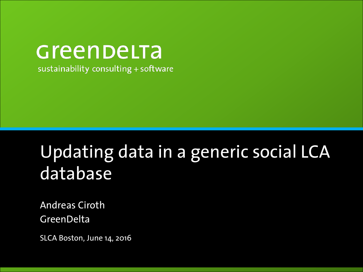# Greenbelta

sustainability consulting + software

### Updating data in a generic social LCA database

Andreas Ciroth **GreenDelta** 

SLCA Boston, June 14, 2016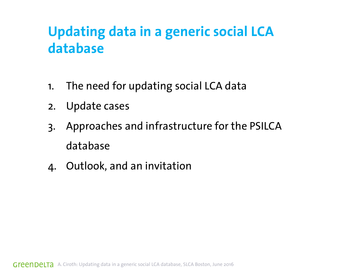#### **Updating data in a generic social LCA database**

- 1. The need for updating social LCA data
- 2. Update cases
- 3. Approaches and infrastructure for the PSILCA database
- 4. Outlook, and an invitation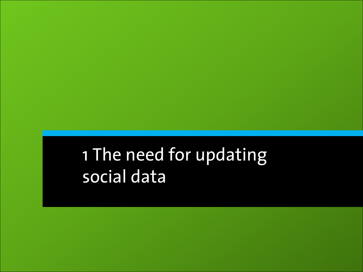### 1 The need for updating social data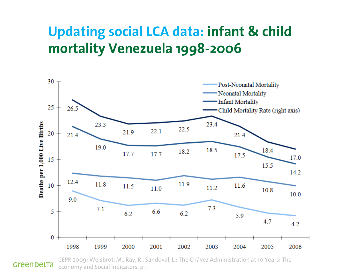#### **Updating social LCA data: infant & child mortality Venezuela 1998-2006**



CEPR 2009: Weisbrot, M., Ray, R., Sandoval, L.: The Chávez Administration at 10 Years: The GreenDeLTa Economy and Social Indicators, p.11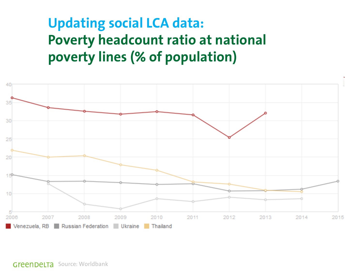#### **Updating social LCA data: Poverty headcount ratio at national poverty lines (% of population)**



Source: Worldbank a generation of a generation of  $S$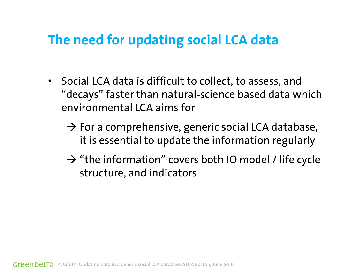#### **The need for updating social LCA data**

- Social LCA data is difficult to collect, to assess, and "decays" faster than natural-science based data which environmental LCA aims for
	- $\rightarrow$  For a comprehensive, generic social LCA database, it is essential to update the information regularly
	- $\rightarrow$  "the information" covers both IO model / life cycle structure, and indicators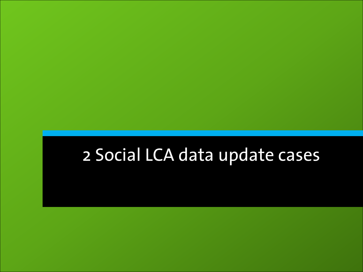### 2 Social LCA data update cases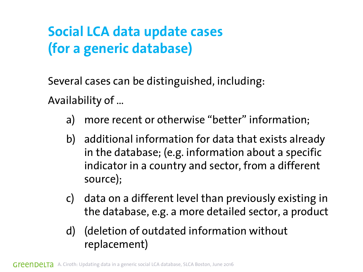Several cases can be distinguished, including: Availability of …

- a) more recent or otherwise "better" information;
- b) additional information for data that exists already in the database; (e.g. information about a specific indicator in a country and sector, from a different source);
- c) data on a different level than previously existing in the database, e.g. a more detailed sector, a product
- d) (deletion of outdated information without replacement)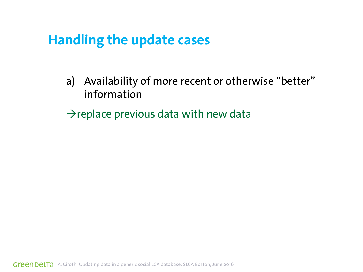#### **Handling the update cases**

- a) Availability of more recent or otherwise "better" information
- $\rightarrow$  replace previous data with new data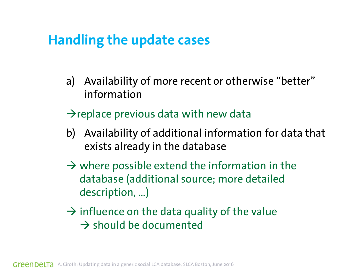#### **Handling the update cases**

- a) Availability of more recent or otherwise "better" information
- $\rightarrow$  replace previous data with new data
- b) Availability of additional information for data that exists already in the database
- $\rightarrow$  where possible extend the information in the database (additional source; more detailed description, …)
- $\rightarrow$  influence on the data quality of the value  $\rightarrow$  should be documented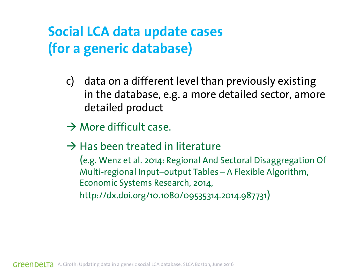- c) data on a different level than previously existing in the database, e.g. a more detailed sector, amore detailed product
- $\rightarrow$  More difficult case.
- $\rightarrow$  Has been treated in literature

(e.g. Wenz et al. 2014: Regional And Sectoral Disaggregation Of Multi-regional Input–output Tables – A Flexible Algorithm, Economic Systems Research, 2014, http://dx.doi.org/10.1080/09535314.2014.987731)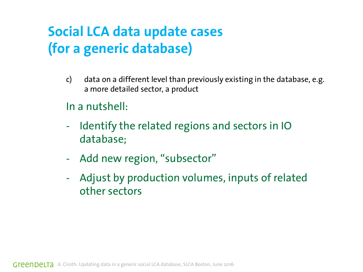- c) data on a different level than previously existing in the database, e.g. a more detailed sector, a product
- In a nutshell:
- Identify the related regions and sectors in IO database;
- Add new region, "subsector"
- Adjust by production volumes, inputs of related other sectors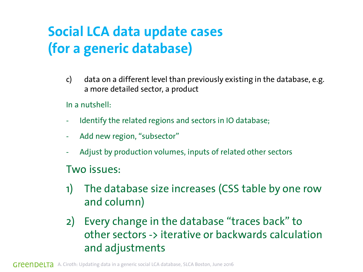c) data on a different level than previously existing in the database, e.g. a more detailed sector, a product

In a nutshell:

- Identify the related regions and sectors in IO database;
- Add new region, "subsector"
- Adjust by production volumes, inputs of related other sectors

Two issues:

- 1) The database size increases (CSS table by one row and column)
- 2) Every change in the database "traces back" to other sectors -> iterative or backwards calculation and adjustments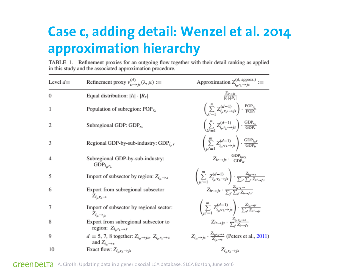#### **Case c, adding detail: Wenzel et al. 2014 approximation hierarchy**

TABLE 1. Refinement proxies for an outgoing flow together with their detail ranking as applied in this study and the associated approximation procedure.

| Level $d=$ | Refinement proxy $v_{ir \to is}^{(d)}(\lambda, \mu) :=$                                       | Approximation $Z_{i_{\mu}r_{\lambda}\to j_{S}}^{(d, \text{ approx.})}$ :=                                                                          |
|------------|-----------------------------------------------------------------------------------------------|----------------------------------------------------------------------------------------------------------------------------------------------------|
| $\theta$   | Equal distribution: $ I_i  \cdot  R_r $                                                       | $\frac{Z_{ir\rightarrow js}}{ L \cdot R_{-} }$                                                                                                     |
| 1          | Population of subregion: $POP_{r_{\lambda}}$                                                  | $\left(\sum_{i=1}^n Z_{i_\mu r_{\lambda'}}^{(d-1)}\right) \cdot \frac{\text{POP}_{r_{\lambda}}}{\text{POP}_r}$                                     |
| 2          | Subregional GDP: $GDPr\lambda$                                                                | $\left(\sum_{i=1}^n Z_{i_\mu r_{\lambda'}}^{(d-1)}\right) \cdot \frac{\text{GDP}_{r_{\lambda}}}{\text{GDP}_{r}}$                                   |
| 3          | Regional GDP-by-sub-industry: $GDP_{i_{\mu}}r$                                                | $\left(\sum_{i,j=1}^m Z^{(d-1)}_{i_{\mu'}r_{\lambda}\to js}\right) \cdot \frac{\text{GDP}_{i_{\mu'}}}{\text{GDP}_{ir}}$                            |
| 4          | Subregional GDP-by-sub-industry:<br>${\rm GDP}_{i_\mu r_\lambda}$                             | $Z_{ir \to is} \cdot \frac{GDP_{i\mu r_{\lambda}}}{GDP}$                                                                                           |
| 5          | Import of subsector by region: $Z_{i_\mu \to s}$                                              | $\left(\sum_{\substack{i=1\\i'=-1}}^m Z^{(d-1)}_{i_{\mu'}r_{\lambda}\to js}\right)\cdot \frac{Z_{i_{\mu}\to s}}{\sum_{r'}\sum_{j'}Z_{ir'\to js'}}$ |
| 6          | Export from subregional subsector<br>$Z_{i_{\mu}r_{\lambda}\to}$                              | $Z_{ir\rightarrow js}$ $\cdot$ $\frac{Z_{i\mu}r_{\lambda}\rightarrow}{\sum_{i}\sum_{j}\sum_{i=1}^{j}r_{i,j}}$                                      |
| 7          | Import of subsector by regional sector:<br>$Z_{i_\mu \to j_s}$                                | $\left(\sum_{i,j'=1}^m Z^{(d-1)}_{i_{\mu'}r_{\lambda}\to js}\right)\cdot \frac{Z_{i_{\mu}\to js}}{\sum_{i'} Z_{i_{\mu'}\to js}}$                   |
| 8          | Export from subregional subsector to<br>region: $Z_{i_\mu r_\lambda \to s}$                   | $Z_{ir\rightarrow js} \cdot \frac{Z_{i\mu r_{\lambda} \rightarrow s}}{\sum_{i} Z_{ir\rightarrow i}}$                                               |
| 9          | $d = 5, 7, 8$ together: $Z_{i_n \to js}$ , $Z_{i_n r_\lambda \to s}$<br>and $Z_{i_\mu \to s}$ | $Z_{i_\mu \to js} \cdot \frac{Z_{i_\mu r_\lambda \to s}}{Z_{i_\mu \to s}}$ (Peters et al., 2011)                                                   |
| 10         | Exact flow: $Z_{i_\mu r_\lambda \to js}$                                                      | $Z_{i_\mu r_\lambda \to j s}$                                                                                                                      |

Green Delta A. Ciroth: Updating data in a generic social LCA database, SLCA Boston, June 2016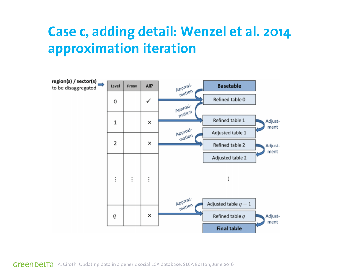#### **Case c, adding detail: Wenzel et al. 2014 approximation iteration**

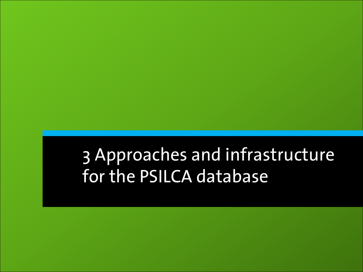### 3 Approaches and infrastructure for the PSILCA database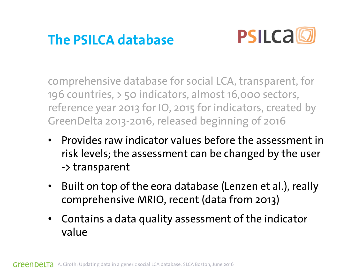#### **The PSILCA database**



comprehensive database for social LCA, transparent, for 196 countries, > 50 indicators, almost 16,000 sectors, reference year 2013 for IO, 2015 for indicators, created by GreenDelta 2013-2016, released beginning of 2016

- Provides raw indicator values before the assessment in risk levels; the assessment can be changed by the user -> transparent
- Built on top of the eora database (Lenzen et al.), really comprehensive MRIO, recent (data from 2013)
- Contains a data quality assessment of the indicator value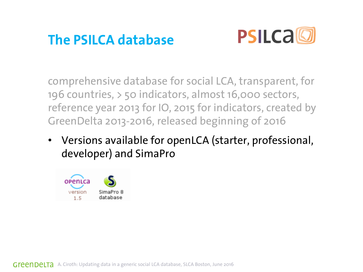#### **The PSILCA database**



comprehensive database for social LCA, transparent, for 196 countries, > 50 indicators, almost 16,000 sectors, reference year 2013 for IO, 2015 for indicators, created by GreenDelta 2013-2016, released beginning of 2016

• Versions available for openLCA (starter, professional, developer) and SimaPro

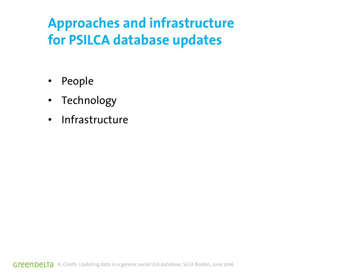#### **Approaches and infrastructure for PSILCA database updates**

- People
- Technology
- Infrastructure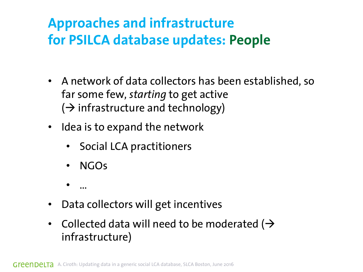#### **Approaches and infrastructure for PSILCA database updates: People**

- A network of data collectors has been established, so far some few, *starting* to get active  $(\rightarrow$  infrastructure and technology)
- Idea is to expand the network
	- Social LCA practitioners
	- NGOs
	- …
- Data collectors will get incentives
- Collected data will need to be moderated ( $\rightarrow$ infrastructure)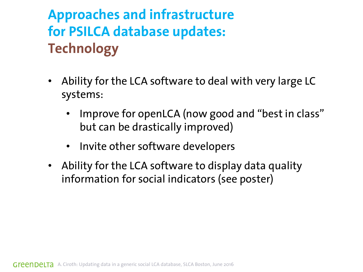#### **Approaches and infrastructure for PSILCA database updates: Technology**

- Ability for the LCA software to deal with very large LC systems:
	- Improve for openLCA (now good and "best in class" but can be drastically improved)
	- Invite other software developers
- Ability for the LCA software to display data quality information for social indicators (see poster)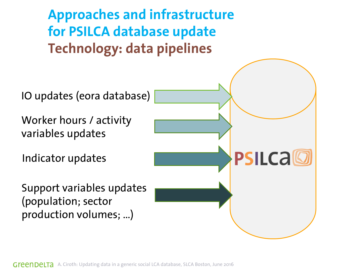

A. Ciroth: Updating data in a generic social LCA database, SLCA Boston, June 2016 Greenbelta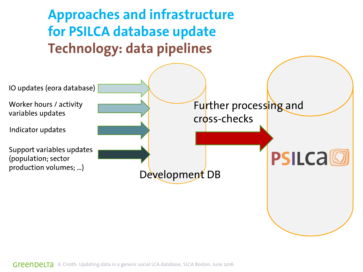

Green Delta A. Ciroth: Updating data in a generic social LCA database, SLCA Boston, June 2016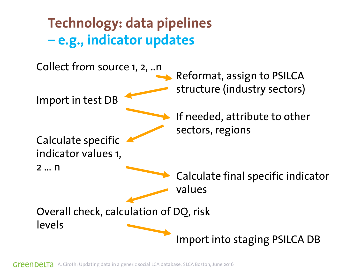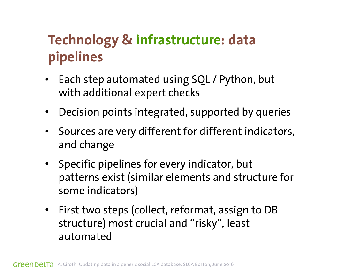### **Technology & infrastructure: data pipelines**

- Each step automated using SQL / Python, but with additional expert checks
- Decision points integrated, supported by queries
- Sources are very different for different indicators, and change
- Specific pipelines for every indicator, but patterns exist (similar elements and structure for some indicators)
- First two steps (collect, reformat, assign to DB structure) most crucial and "risky", least automated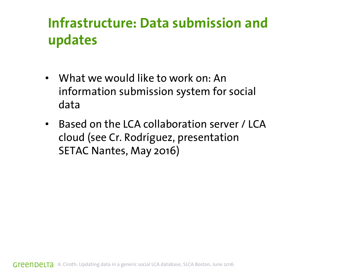#### **Infrastructure: Data submission and updates**

- What we would like to work on: An information submission system for social data
- Based on the LCA collaboration server / LCA cloud (see Cr. Rodríguez, presentation SETAC Nantes, May 2016)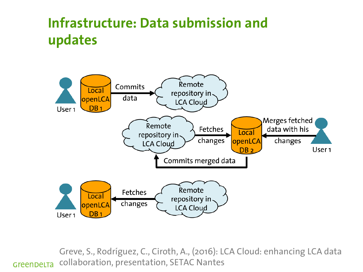#### **Infrastructure: Data submission and updates**



Greve, S., Rodríguez, C., Ciroth, A., (2016): LCA Cloud: enhancing LCA data collaboration, presentation, SETAC Nantes GreenDeLTa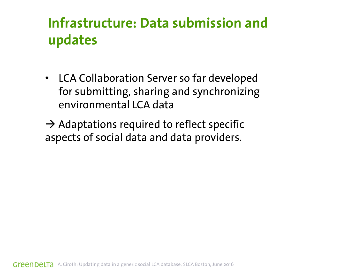#### **Infrastructure: Data submission and updates**

• LCA Collaboration Server so far developed for submitting, sharing and synchronizing environmental LCA data

 $\rightarrow$  Adaptations required to reflect specific aspects of social data and data providers.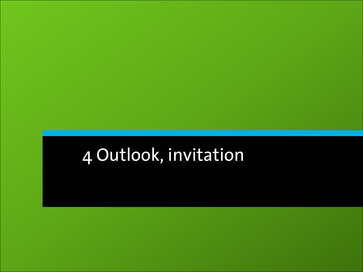### 4 Outlook, invitation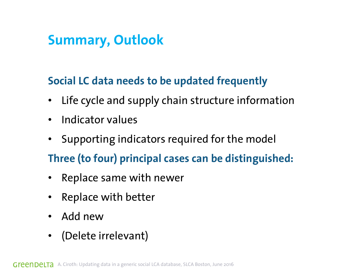#### **Summary, Outlook**

#### **Social LC data needs to be updated frequently**

- Life cycle and supply chain structure information
- Indicator values
- Supporting indicators required for the model

#### **Three (to four) principal cases can be distinguished:**

- Replace same with newer
- Replace with better
- Add new
- (Delete irrelevant)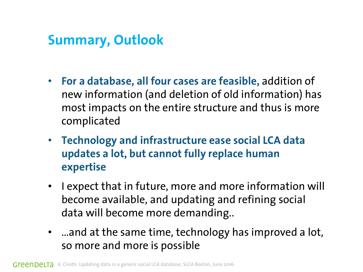#### **Summary, Outlook**

- **For a database, all four cases are feasible,** addition of new information (and deletion of old information) has most impacts on the entire structure and thus is more complicated
- **Technology and infrastructure ease social LCA data updates a lot, but cannot fully replace human expertise**
- I expect that in future, more and more information will become available, and updating and refining social data will become more demanding..
- …and at the same time, technology has improved a lot, so more and more is possible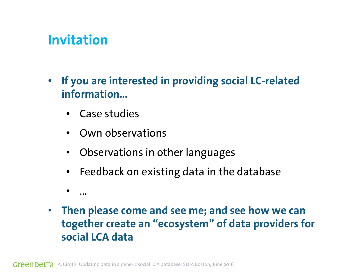#### **Invitation**

- **If you are interested in providing social LC-related information…**
	- Case studies
	- Own observations
	- Observations in other languages
	- Feedback on existing data in the database
	- …
- **Then please come and see me; and see how we can together create an "ecosystem" of data providers for social LCA data**